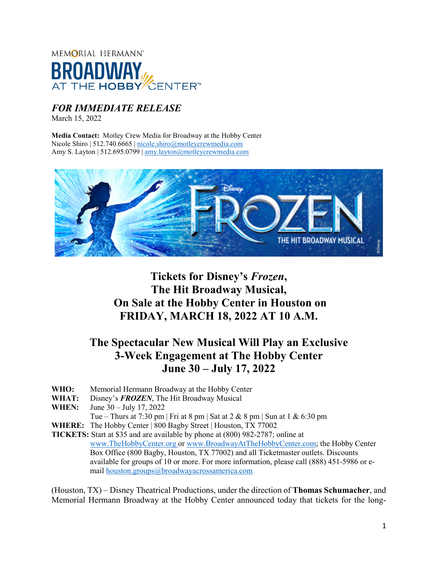

### *FOR IMMEDIATE RELEASE*

March 15, 2022

**Media Contact:** Motley Crew Media for Broadway at the Hobby Center Nicole Shiro | 512.740.6665 | [nicole.shiro@motleycrewmedia.com](mailto:nicole.shiro@motleycrewmedia.com) Amy S. Layton | 512.695.0799 | [amy.layton@motleycrewmedia.com](mailto:amy.layton@motleycrewmedia.com)



# **Tickets for Disney's** *Frozen***, The Hit Broadway Musical, On Sale at the Hobby Center in Houston on FRIDAY, MARCH 18, 2022 AT 10 A.M.**

# **The Spectacular New Musical Will Play an Exclusive 3-Week Engagement at The Hobby Center June 30 – July 17, 2022**

- **WHO:** Memorial Hermann Broadway at the Hobby Center
- **WHAT:** Disney's *FROZEN*, The Hit Broadway Musical
- **WHEN:** June 30 July 17, 2022
	- Tue Thurs at 7:30 pm | Fri at 8 pm | Sat at 2 & 8 pm | Sun at 1 & 6:30 pm
- **WHERE:** The Hobby Center | 800 Bagby Street | Houston, TX 77002

**TICKETS:** Start at \$35 and are available by phone at (800) 982-2787; online at [www.TheHobbyCenter.org](http://www.thehobbycenter.org/) or [www.BroadwayAtTheHobbyCenter.com;](http://www.broadwayatthehobbycenter.com/) the Hobby Center Box Office (800 Bagby, Houston, TX 77002) and all Ticketmaster outlets. Discounts available for groups of 10 or more. For more information, please call (888) 451-5986 or email [houston.groups@broadwayacrossamerica.com](mailto:houston.groups@broadwayacrossamerica.com)

(Houston, TX) – Disney Theatrical Productions, under the direction of **Thomas Schumacher**, and Memorial Hermann Broadway at the Hobby Center announced today that tickets for the long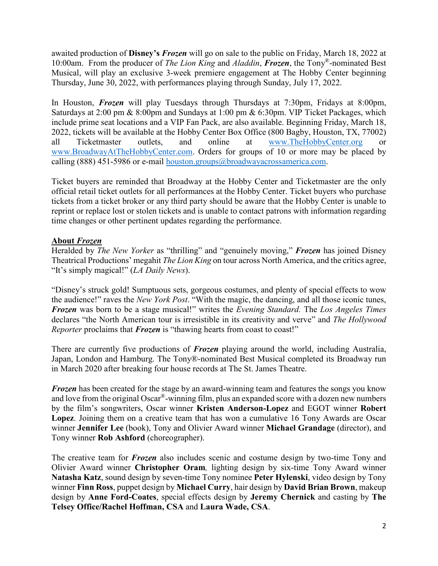awaited production of **Disney's** *Frozen* will go on sale to the public on Friday, March 18, 2022 at 10:00am. From the producer of *The Lion King* and *Aladdin*, *Frozen*, the Tony®-nominated Best Musical, will play an exclusive 3-week premiere engagement at The Hobby Center beginning Thursday, June 30, 2022, with performances playing through Sunday, July 17, 2022.

In Houston, *Frozen* will play Tuesdays through Thursdays at 7:30pm, Fridays at 8:00pm, Saturdays at 2:00 pm & 8:00pm and Sundays at 1:00 pm & 6:30pm. VIP Ticket Packages, which include prime seat locations and a VIP Fan Pack, are also available. Beginning Friday, March 18, 2022, tickets will be available at the Hobby Center Box Office (800 Bagby, Houston, TX, 77002) all Ticketmaster outlets, and online at [www.TheHobbyCenter.org](http://www.thehobbycenter.org/) or [www.BroadwayAtTheHobbyCenter.com.](http://www.broadwayatthehobbycenter.com/) Orders for groups of 10 or more may be placed by calling (888) 451-5986 or e-mail [houston.groups@broadwayacrossamerica.com.](mailto:houston.groups@broadwayacrossamerica.com)

Ticket buyers are reminded that Broadway at the Hobby Center and Ticketmaster are the only official retail ticket outlets for all performances at the Hobby Center. Ticket buyers who purchase tickets from a ticket broker or any third party should be aware that the Hobby Center is unable to reprint or replace lost or stolen tickets and is unable to contact patrons with information regarding time changes or other pertinent updates regarding the performance.

#### **About** *Frozen*

Heralded by *The New Yorker* as "thrilling" and "genuinely moving," *Frozen* has joined Disney Theatrical Productions' megahit *The Lion King* on tour across North America, and the critics agree, "It's simply magical!" (*LA Daily News*).

"Disney's struck gold! Sumptuous sets, gorgeous costumes, and plenty of special effects to wow the audience!" raves the *New York Post*. "With the magic, the dancing, and all those iconic tunes, *Frozen* was born to be a stage musical!" writes the *Evening Standard.* The *Los Angeles Times* declares "the North American tour is irresistible in its creativity and verve" and *The Hollywood Reporter* proclaims that *Frozen* is "thawing hearts from coast to coast!"

There are currently five productions of *Frozen* playing around the world, including Australia, Japan, London and Hamburg. The Tony®-nominated Best Musical completed its Broadway run in March 2020 after breaking four house records at The St. James Theatre.

*Frozen* has been created for the stage by an award-winning team and features the songs you know and love from the original Oscar®-winning film, plus an expanded score with a dozen new numbers by the film's songwriters, Oscar winner **Kristen Anderson-Lopez** and EGOT winner **Robert Lopez**. Joining them on a creative team that has won a cumulative 16 Tony Awards are Oscar winner **Jennifer Lee** (book), Tony and Olivier Award winner **Michael Grandage** (director), and Tony winner **Rob Ashford** (choreographer).

The creative team for *Frozen* also includes scenic and costume design by two-time Tony and Olivier Award winner **Christopher Oram***,* lighting design by six-time Tony Award winner **Natasha Katz**, sound design by seven-time Tony nominee **Peter Hylenski**, video design by Tony winner **Finn Ross**, puppet design by **Michael Curry**, hair design by **David Brian Brown**, makeup design by **Anne Ford-Coates**, special effects design by **Jeremy Chernick** and casting by **The Telsey Office/Rachel Hoffman, CSA** and **Laura Wade, CSA**.